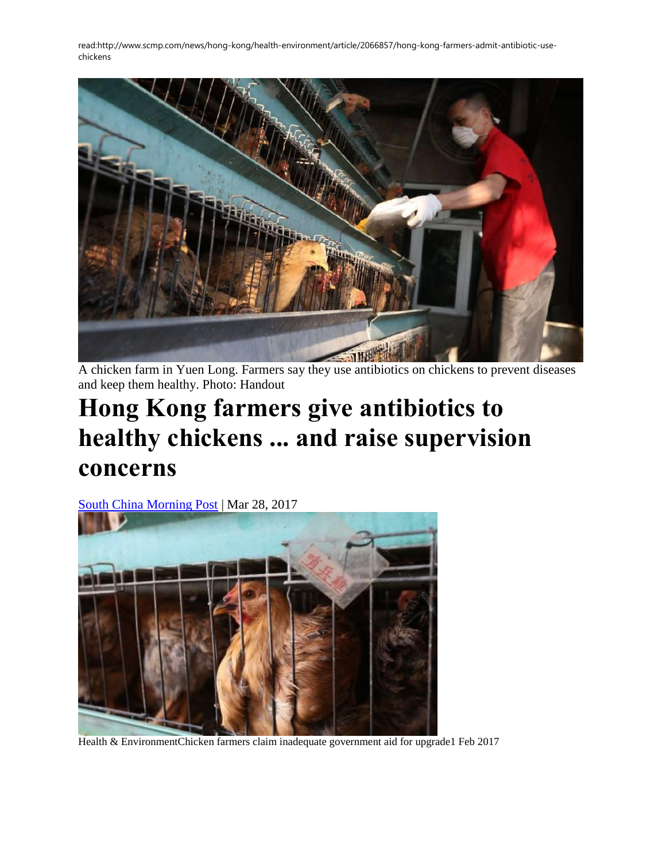

A chicken farm in Yuen Long. Farmers say they use antibiotics on chickens to prevent diseases and keep them healthy. Photo: Handout

## **Hong Kong farmers give antibiotics to healthy chickens ... and raise supervision concerns**

[South China Morning Post](http://www.scmp.com/news/hong-kong/health-environment/article/2066857/hong-kong-farmers-admit-antibiotic-use-chickens) | Mar 28, 2017



Health & EnvironmentChicken farmers claim inadequate government aid for upgrade1 Feb 2017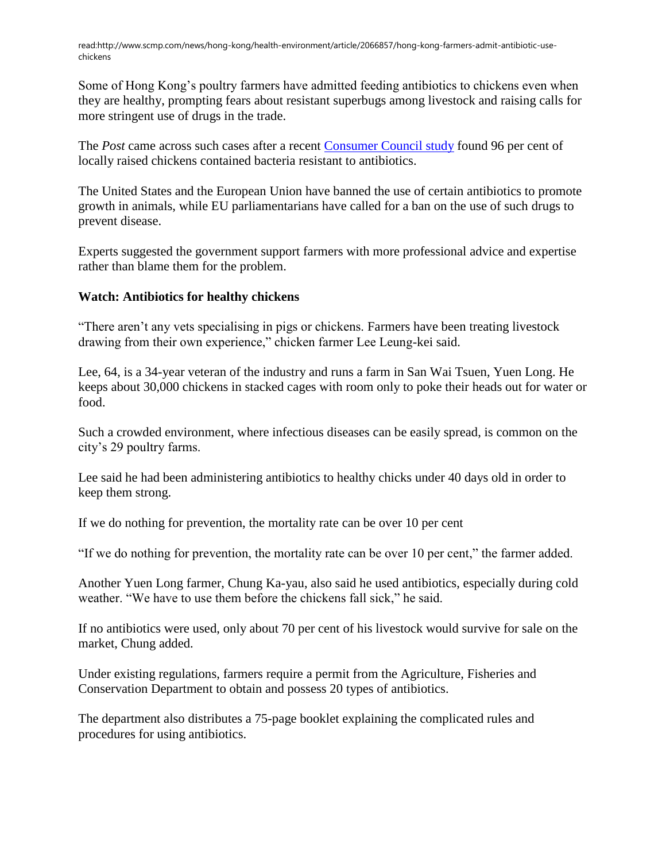Some of Hong Kong's poultry farmers have admitted feeding antibiotics to chickens even when they are healthy, prompting fears about resistant superbugs among livestock and raising calls for more stringent use of drugs in the trade.

The *Post* came across such cases after a recent [Consumer Council study](http://www.scmp.com/news/hong-kong/health-environment/article/2054837/call-regulation-after-antibiotic-resistant) found 96 per cent of locally raised chickens contained bacteria resistant to antibiotics.

The United States and the European Union have banned the use of certain antibiotics to promote growth in animals, while EU parliamentarians have called for a ban on the use of such drugs to prevent disease.

Experts suggested the government support farmers with more professional advice and expertise rather than blame them for the problem.

## **Watch: Antibiotics for healthy chickens**

"There aren't any vets specialising in pigs or chickens. Farmers have been treating livestock drawing from their own experience," chicken farmer Lee Leung-kei said.

Lee, 64, is a 34-year veteran of the industry and runs a farm in San Wai Tsuen, Yuen Long. He keeps about 30,000 chickens in stacked cages with room only to poke their heads out for water or food.

Such a crowded environment, where infectious diseases can be easily spread, is common on the city's 29 poultry farms.

Lee said he had been administering antibiotics to healthy chicks under 40 days old in order to keep them strong.

If we do nothing for prevention, the mortality rate can be over 10 per cent

"If we do nothing for prevention, the mortality rate can be over 10 per cent," the farmer added.

Another Yuen Long farmer, Chung Ka-yau, also said he used antibiotics, especially during cold weather. "We have to use them before the chickens fall sick," he said.

If no antibiotics were used, only about 70 per cent of his livestock would survive for sale on the market, Chung added.

Under existing regulations, farmers require a permit from the Agriculture, Fisheries and Conservation Department to obtain and possess 20 types of antibiotics.

The department also distributes a 75-page booklet explaining the complicated rules and procedures for using antibiotics.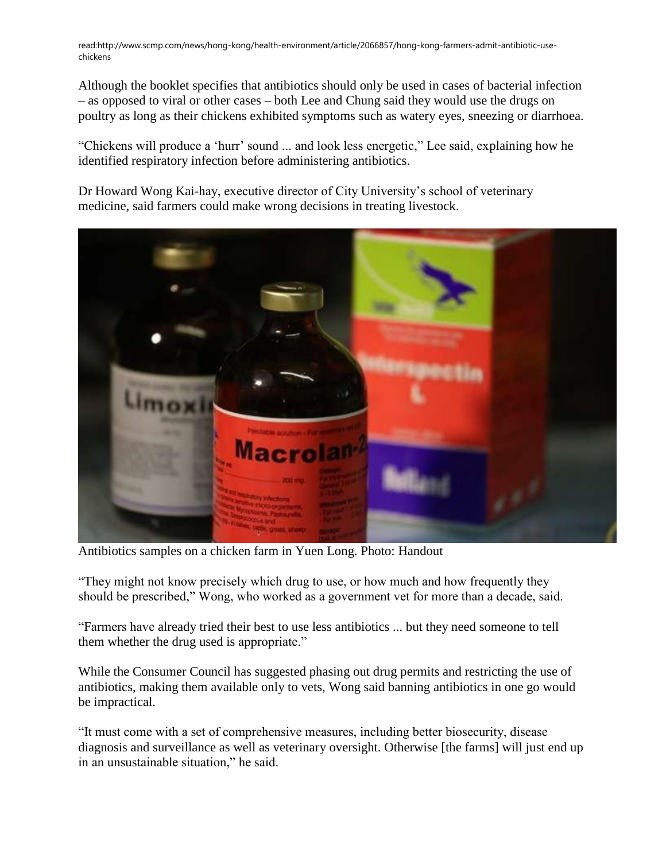Although the booklet specifies that antibiotics should only be used in cases of bacterial infection – as opposed to viral or other cases – both Lee and Chung said they would use the drugs on poultry as long as their chickens exhibited symptoms such as watery eyes, sneezing or diarrhoea.

"Chickens will produce a 'hurr' sound ... and look less energetic," Lee said, explaining how he identified respiratory infection before administering antibiotics.

Dr Howard Wong Kai-hay, executive director of City University's school of veterinary medicine, said farmers could make wrong decisions in treating livestock.



Antibiotics samples on a chicken farm in Yuen Long. Photo: Handout

"They might not know precisely which drug to use, or how much and how frequently they should be prescribed," Wong, who worked as a government vet for more than a decade, said.

"Farmers have already tried their best to use less antibiotics ... but they need someone to tell them whether the drug used is appropriate."

While the Consumer Council has suggested phasing out drug permits and restricting the use of antibiotics, making them available only to vets, Wong said banning antibiotics in one go would be impractical.

"It must come with a set of comprehensive measures, including better biosecurity, disease diagnosis and surveillance as well as veterinary oversight. Otherwise [the farms] will just end up in an unsustainable situation," he said.